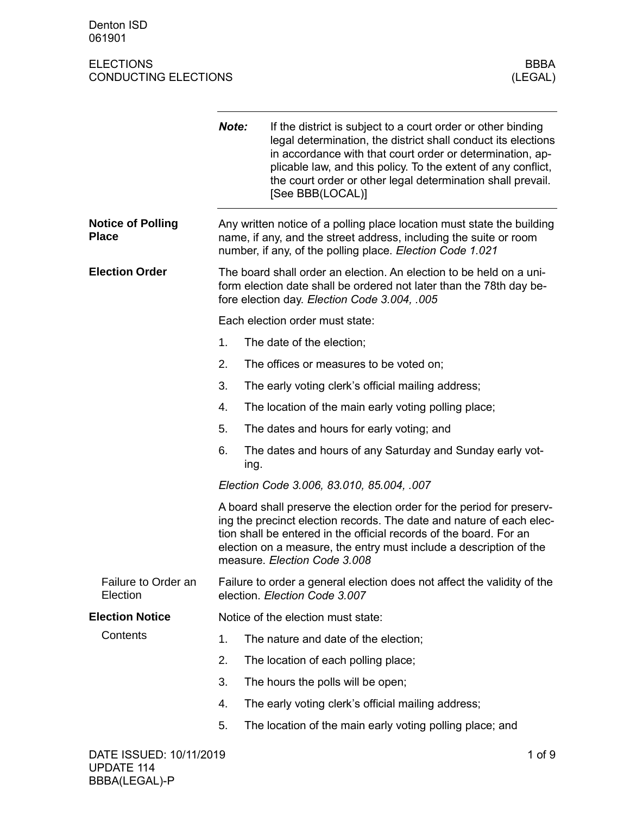Denton ISD 061901

|                                          | Note:                                                                                                                                                                                                                                                                                                                     | If the district is subject to a court order or other binding<br>legal determination, the district shall conduct its elections<br>in accordance with that court order or determination, ap-<br>plicable law, and this policy. To the extent of any conflict,<br>the court order or other legal determination shall prevail.<br>[See BBB(LOCAL)] |  |  |
|------------------------------------------|---------------------------------------------------------------------------------------------------------------------------------------------------------------------------------------------------------------------------------------------------------------------------------------------------------------------------|------------------------------------------------------------------------------------------------------------------------------------------------------------------------------------------------------------------------------------------------------------------------------------------------------------------------------------------------|--|--|
| <b>Notice of Polling</b><br><b>Place</b> |                                                                                                                                                                                                                                                                                                                           | Any written notice of a polling place location must state the building<br>name, if any, and the street address, including the suite or room<br>number, if any, of the polling place. Election Code 1.021                                                                                                                                       |  |  |
| <b>Election Order</b>                    | The board shall order an election. An election to be held on a uni-<br>form election date shall be ordered not later than the 78th day be-<br>fore election day. Election Code 3.004, .005                                                                                                                                |                                                                                                                                                                                                                                                                                                                                                |  |  |
|                                          |                                                                                                                                                                                                                                                                                                                           | Each election order must state:                                                                                                                                                                                                                                                                                                                |  |  |
|                                          | 1.                                                                                                                                                                                                                                                                                                                        | The date of the election;                                                                                                                                                                                                                                                                                                                      |  |  |
|                                          | 2.                                                                                                                                                                                                                                                                                                                        | The offices or measures to be voted on;                                                                                                                                                                                                                                                                                                        |  |  |
|                                          | 3.                                                                                                                                                                                                                                                                                                                        | The early voting clerk's official mailing address;                                                                                                                                                                                                                                                                                             |  |  |
|                                          | 4.                                                                                                                                                                                                                                                                                                                        | The location of the main early voting polling place;                                                                                                                                                                                                                                                                                           |  |  |
|                                          | 5.                                                                                                                                                                                                                                                                                                                        | The dates and hours for early voting; and                                                                                                                                                                                                                                                                                                      |  |  |
|                                          | 6.                                                                                                                                                                                                                                                                                                                        | The dates and hours of any Saturday and Sunday early vot-<br>ing.                                                                                                                                                                                                                                                                              |  |  |
|                                          | Election Code 3.006, 83.010, 85.004, .007                                                                                                                                                                                                                                                                                 |                                                                                                                                                                                                                                                                                                                                                |  |  |
|                                          | A board shall preserve the election order for the period for preserv-<br>ing the precinct election records. The date and nature of each elec-<br>tion shall be entered in the official records of the board. For an<br>election on a measure, the entry must include a description of the<br>measure. Election Code 3.008 |                                                                                                                                                                                                                                                                                                                                                |  |  |
| Failure to Order an<br>Election          |                                                                                                                                                                                                                                                                                                                           | Failure to order a general election does not affect the validity of the<br>election. Election Code 3.007                                                                                                                                                                                                                                       |  |  |
| <b>Election Notice</b>                   |                                                                                                                                                                                                                                                                                                                           | Notice of the election must state:                                                                                                                                                                                                                                                                                                             |  |  |
| Contents                                 | 1.                                                                                                                                                                                                                                                                                                                        | The nature and date of the election;                                                                                                                                                                                                                                                                                                           |  |  |
|                                          | 2.                                                                                                                                                                                                                                                                                                                        | The location of each polling place;                                                                                                                                                                                                                                                                                                            |  |  |
|                                          | 3.                                                                                                                                                                                                                                                                                                                        | The hours the polls will be open;                                                                                                                                                                                                                                                                                                              |  |  |
|                                          | 4.                                                                                                                                                                                                                                                                                                                        | The early voting clerk's official mailing address;                                                                                                                                                                                                                                                                                             |  |  |
|                                          | 5.                                                                                                                                                                                                                                                                                                                        | The location of the main early voting polling place; and                                                                                                                                                                                                                                                                                       |  |  |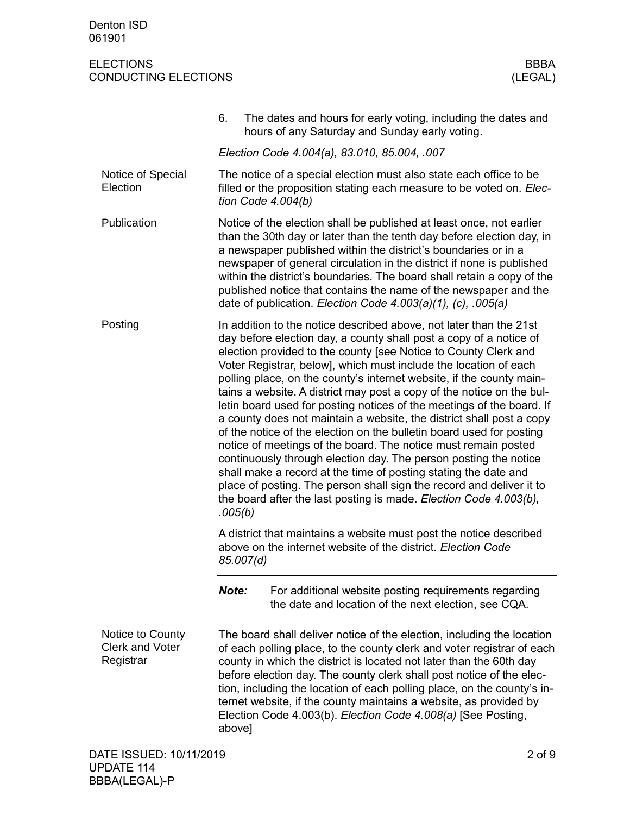BBBA(LEGAL)-P

|                                                         | 6.        | The dates and hours for early voting, including the dates and<br>hours of any Saturday and Sunday early voting.                                                                                                                                                                                                                                                                                                                                                                                                                                                                                                                                                                                                                                                                                                                                                                                                                                                                                                 |  |
|---------------------------------------------------------|-----------|-----------------------------------------------------------------------------------------------------------------------------------------------------------------------------------------------------------------------------------------------------------------------------------------------------------------------------------------------------------------------------------------------------------------------------------------------------------------------------------------------------------------------------------------------------------------------------------------------------------------------------------------------------------------------------------------------------------------------------------------------------------------------------------------------------------------------------------------------------------------------------------------------------------------------------------------------------------------------------------------------------------------|--|
|                                                         |           | Election Code 4.004(a), 83.010, 85.004, .007                                                                                                                                                                                                                                                                                                                                                                                                                                                                                                                                                                                                                                                                                                                                                                                                                                                                                                                                                                    |  |
| Notice of Special<br>Election                           |           | The notice of a special election must also state each office to be<br>filled or the proposition stating each measure to be voted on. Elec-<br>tion Code $4.004(b)$                                                                                                                                                                                                                                                                                                                                                                                                                                                                                                                                                                                                                                                                                                                                                                                                                                              |  |
| Publication                                             |           | Notice of the election shall be published at least once, not earlier<br>than the 30th day or later than the tenth day before election day, in<br>a newspaper published within the district's boundaries or in a<br>newspaper of general circulation in the district if none is published<br>within the district's boundaries. The board shall retain a copy of the<br>published notice that contains the name of the newspaper and the<br>date of publication. Election Code 4.003(a)(1), (c), .005(a)                                                                                                                                                                                                                                                                                                                                                                                                                                                                                                          |  |
| Posting                                                 | .005(b)   | In addition to the notice described above, not later than the 21st<br>day before election day, a county shall post a copy of a notice of<br>election provided to the county [see Notice to County Clerk and<br>Voter Registrar, below], which must include the location of each<br>polling place, on the county's internet website, if the county main-<br>tains a website. A district may post a copy of the notice on the bul-<br>letin board used for posting notices of the meetings of the board. If<br>a county does not maintain a website, the district shall post a copy<br>of the notice of the election on the bulletin board used for posting<br>notice of meetings of the board. The notice must remain posted<br>continuously through election day. The person posting the notice<br>shall make a record at the time of posting stating the date and<br>place of posting. The person shall sign the record and deliver it to<br>the board after the last posting is made. Election Code 4.003(b), |  |
|                                                         | 85.007(d) | A district that maintains a website must post the notice described<br>above on the internet website of the district. Election Code                                                                                                                                                                                                                                                                                                                                                                                                                                                                                                                                                                                                                                                                                                                                                                                                                                                                              |  |
|                                                         | Note:     | For additional website posting requirements regarding<br>the date and location of the next election, see CQA.                                                                                                                                                                                                                                                                                                                                                                                                                                                                                                                                                                                                                                                                                                                                                                                                                                                                                                   |  |
| Notice to County<br><b>Clerk and Voter</b><br>Registrar | above]    | The board shall deliver notice of the election, including the location<br>of each polling place, to the county clerk and voter registrar of each<br>county in which the district is located not later than the 60th day<br>before election day. The county clerk shall post notice of the elec-<br>tion, including the location of each polling place, on the county's in-<br>ternet website, if the county maintains a website, as provided by<br>Election Code 4.003(b). Election Code 4.008(a) [See Posting,                                                                                                                                                                                                                                                                                                                                                                                                                                                                                                 |  |
| DATE ISSUED: 10/11/2019<br><b>UPDATE 114</b>            |           | $2$ of $9$                                                                                                                                                                                                                                                                                                                                                                                                                                                                                                                                                                                                                                                                                                                                                                                                                                                                                                                                                                                                      |  |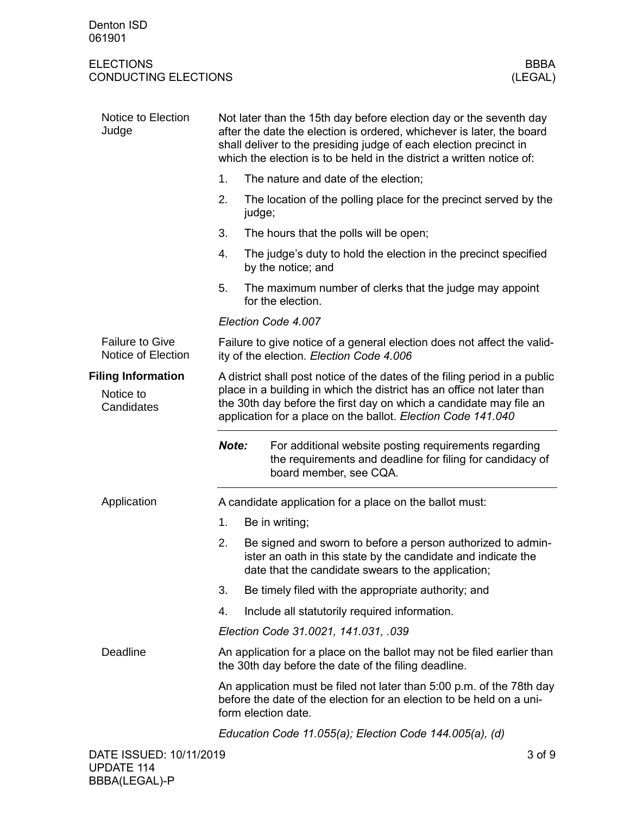| Notice to Election<br>Judge                  | Not later than the 15th day before election day or the seventh day<br>after the date the election is ordered, whichever is later, the board<br>shall deliver to the presiding judge of each election precinct in<br>which the election is to be held in the district a written notice of: |  |  |  |
|----------------------------------------------|-------------------------------------------------------------------------------------------------------------------------------------------------------------------------------------------------------------------------------------------------------------------------------------------|--|--|--|
|                                              | 1.<br>The nature and date of the election;                                                                                                                                                                                                                                                |  |  |  |
|                                              | 2.<br>The location of the polling place for the precinct served by the<br>judge;                                                                                                                                                                                                          |  |  |  |
|                                              | 3.<br>The hours that the polls will be open;                                                                                                                                                                                                                                              |  |  |  |
|                                              | 4.<br>The judge's duty to hold the election in the precinct specified<br>by the notice; and                                                                                                                                                                                               |  |  |  |
|                                              | 5.<br>The maximum number of clerks that the judge may appoint<br>for the election.                                                                                                                                                                                                        |  |  |  |
|                                              | Election Code 4.007                                                                                                                                                                                                                                                                       |  |  |  |
| <b>Failure to Give</b><br>Notice of Election | Failure to give notice of a general election does not affect the valid-<br>ity of the election. Election Code 4.006                                                                                                                                                                       |  |  |  |
| <b>Filing Information</b>                    | A district shall post notice of the dates of the filing period in a public                                                                                                                                                                                                                |  |  |  |
| Notice to<br>Candidates                      | place in a building in which the district has an office not later than<br>the 30th day before the first day on which a candidate may file an<br>application for a place on the ballot. Election Code 141.040                                                                              |  |  |  |
|                                              | Note:<br>For additional website posting requirements regarding<br>the requirements and deadline for filing for candidacy of<br>board member, see CQA.                                                                                                                                     |  |  |  |
| Application                                  | A candidate application for a place on the ballot must:                                                                                                                                                                                                                                   |  |  |  |
|                                              | 1.<br>Be in writing;                                                                                                                                                                                                                                                                      |  |  |  |
|                                              | 2.<br>Be signed and sworn to before a person authorized to admin-<br>ister an oath in this state by the candidate and indicate the<br>date that the candidate swears to the application;                                                                                                  |  |  |  |
|                                              | 3.<br>Be timely filed with the appropriate authority; and                                                                                                                                                                                                                                 |  |  |  |
|                                              | 4.<br>Include all statutorily required information.                                                                                                                                                                                                                                       |  |  |  |
|                                              | Election Code 31.0021, 141.031, .039                                                                                                                                                                                                                                                      |  |  |  |
| Deadline                                     | An application for a place on the ballot may not be filed earlier than<br>the 30th day before the date of the filing deadline.                                                                                                                                                            |  |  |  |
|                                              | An application must be filed not later than 5:00 p.m. of the 78th day<br>before the date of the election for an election to be held on a uni-<br>form election date.                                                                                                                      |  |  |  |
|                                              | Education Code 11.055(a); Election Code 144.005(a), (d)                                                                                                                                                                                                                                   |  |  |  |
| DATE ISSUED: 10/11/2019                      | 3 of 9                                                                                                                                                                                                                                                                                    |  |  |  |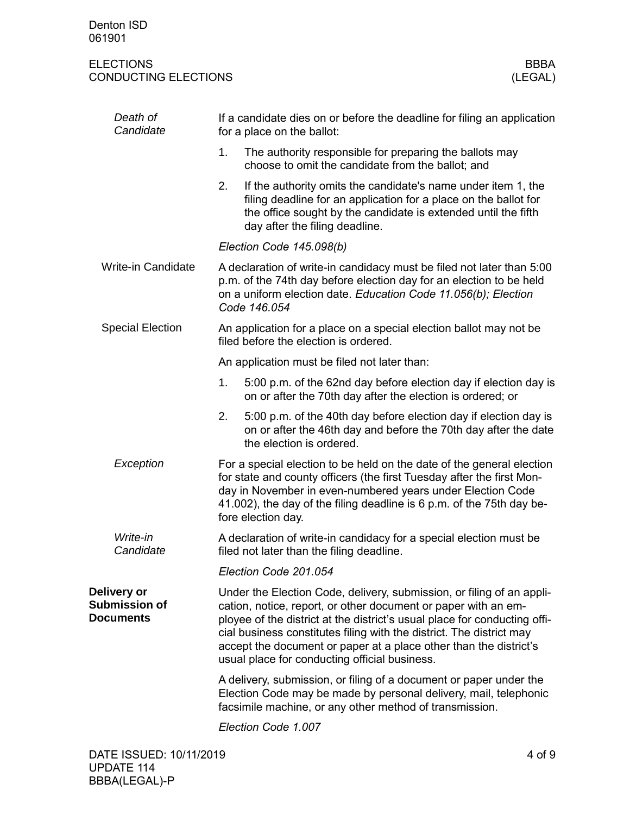| Death of<br>Candidate                                   | If a candidate dies on or before the deadline for filing an application<br>for a place on the ballot:                                                                                                                                                                                                                                                                                                              |                                                                                                                                                                                                                                                                                                             |  |  |
|---------------------------------------------------------|--------------------------------------------------------------------------------------------------------------------------------------------------------------------------------------------------------------------------------------------------------------------------------------------------------------------------------------------------------------------------------------------------------------------|-------------------------------------------------------------------------------------------------------------------------------------------------------------------------------------------------------------------------------------------------------------------------------------------------------------|--|--|
|                                                         | 1.                                                                                                                                                                                                                                                                                                                                                                                                                 | The authority responsible for preparing the ballots may<br>choose to omit the candidate from the ballot; and                                                                                                                                                                                                |  |  |
|                                                         | 2.                                                                                                                                                                                                                                                                                                                                                                                                                 | If the authority omits the candidate's name under item 1, the<br>filing deadline for an application for a place on the ballot for<br>the office sought by the candidate is extended until the fifth<br>day after the filing deadline.                                                                       |  |  |
|                                                         | Election Code 145.098(b)                                                                                                                                                                                                                                                                                                                                                                                           |                                                                                                                                                                                                                                                                                                             |  |  |
| <b>Write-in Candidate</b>                               |                                                                                                                                                                                                                                                                                                                                                                                                                    | A declaration of write-in candidacy must be filed not later than 5:00<br>p.m. of the 74th day before election day for an election to be held<br>on a uniform election date. Education Code 11.056(b); Election<br>Code 146.054                                                                              |  |  |
| <b>Special Election</b>                                 | An application for a place on a special election ballot may not be<br>filed before the election is ordered.                                                                                                                                                                                                                                                                                                        |                                                                                                                                                                                                                                                                                                             |  |  |
|                                                         | An application must be filed not later than:                                                                                                                                                                                                                                                                                                                                                                       |                                                                                                                                                                                                                                                                                                             |  |  |
|                                                         | 1.                                                                                                                                                                                                                                                                                                                                                                                                                 | 5:00 p.m. of the 62nd day before election day if election day is<br>on or after the 70th day after the election is ordered; or                                                                                                                                                                              |  |  |
|                                                         | 2.                                                                                                                                                                                                                                                                                                                                                                                                                 | 5:00 p.m. of the 40th day before election day if election day is<br>on or after the 46th day and before the 70th day after the date<br>the election is ordered.                                                                                                                                             |  |  |
| Exception                                               |                                                                                                                                                                                                                                                                                                                                                                                                                    | For a special election to be held on the date of the general election<br>for state and county officers (the first Tuesday after the first Mon-<br>day in November in even-numbered years under Election Code<br>41.002), the day of the filing deadline is 6 p.m. of the 75th day be-<br>fore election day. |  |  |
| Write-in<br>Candidate                                   |                                                                                                                                                                                                                                                                                                                                                                                                                    | A declaration of write-in candidacy for a special election must be<br>filed not later than the filing deadline.                                                                                                                                                                                             |  |  |
|                                                         |                                                                                                                                                                                                                                                                                                                                                                                                                    | Election Code 201.054                                                                                                                                                                                                                                                                                       |  |  |
| Delivery or<br><b>Submission of</b><br><b>Documents</b> | Under the Election Code, delivery, submission, or filing of an appli-<br>cation, notice, report, or other document or paper with an em-<br>ployee of the district at the district's usual place for conducting offi-<br>cial business constitutes filing with the district. The district may<br>accept the document or paper at a place other than the district's<br>usual place for conducting official business. |                                                                                                                                                                                                                                                                                                             |  |  |
|                                                         |                                                                                                                                                                                                                                                                                                                                                                                                                    | A delivery, submission, or filing of a document or paper under the<br>Election Code may be made by personal delivery, mail, telephonic<br>facsimile machine, or any other method of transmission.                                                                                                           |  |  |
|                                                         |                                                                                                                                                                                                                                                                                                                                                                                                                    | Election Code 1.007                                                                                                                                                                                                                                                                                         |  |  |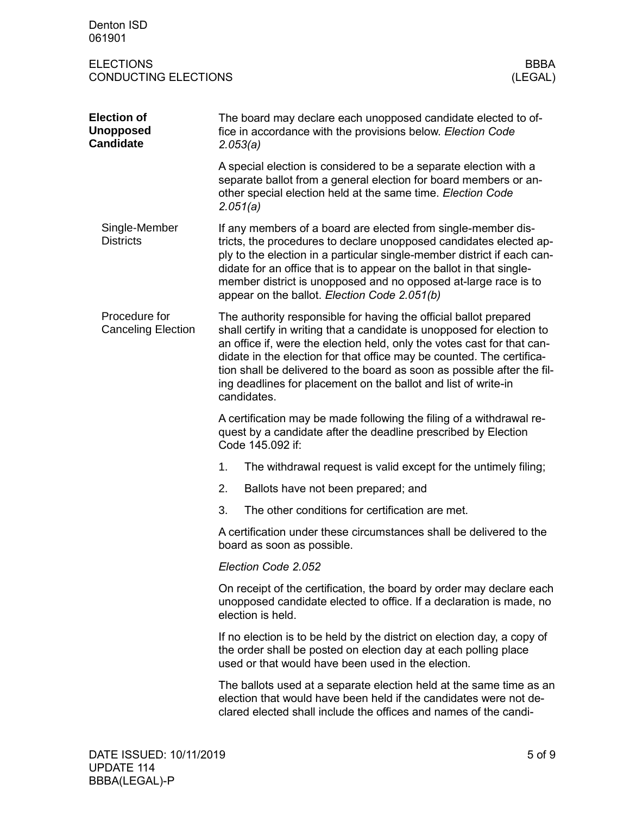| Denton ISD<br>061901                                       |                                                                                                                                                                                                                                                                                                                                                                                                                                                             |                        |  |
|------------------------------------------------------------|-------------------------------------------------------------------------------------------------------------------------------------------------------------------------------------------------------------------------------------------------------------------------------------------------------------------------------------------------------------------------------------------------------------------------------------------------------------|------------------------|--|
| <b>ELECTIONS</b><br><b>CONDUCTING ELECTIONS</b>            |                                                                                                                                                                                                                                                                                                                                                                                                                                                             | <b>BBBA</b><br>(LEGAL) |  |
| <b>Election of</b><br><b>Unopposed</b><br><b>Candidate</b> | The board may declare each unopposed candidate elected to of-<br>fice in accordance with the provisions below. Election Code<br>2.053(a)                                                                                                                                                                                                                                                                                                                    |                        |  |
|                                                            | A special election is considered to be a separate election with a<br>separate ballot from a general election for board members or an-<br>other special election held at the same time. Election Code<br>2.051(a)                                                                                                                                                                                                                                            |                        |  |
| Single-Member<br><b>Districts</b>                          | If any members of a board are elected from single-member dis-<br>tricts, the procedures to declare unopposed candidates elected ap-<br>ply to the election in a particular single-member district if each can-<br>didate for an office that is to appear on the ballot in that single-<br>member district is unopposed and no opposed at-large race is to<br>appear on the ballot. Election Code 2.051(b)                                                   |                        |  |
| Procedure for<br><b>Canceling Election</b>                 | The authority responsible for having the official ballot prepared<br>shall certify in writing that a candidate is unopposed for election to<br>an office if, were the election held, only the votes cast for that can-<br>didate in the election for that office may be counted. The certifica-<br>tion shall be delivered to the board as soon as possible after the fil-<br>ing deadlines for placement on the ballot and list of write-in<br>candidates. |                        |  |
|                                                            | A certification may be made following the filing of a withdrawal re-<br>quest by a candidate after the deadline prescribed by Election<br>Code 145.092 if:                                                                                                                                                                                                                                                                                                  |                        |  |
|                                                            | 1.<br>The withdrawal request is valid except for the untimely filing;                                                                                                                                                                                                                                                                                                                                                                                       |                        |  |
|                                                            | 2.<br>Ballots have not been prepared; and                                                                                                                                                                                                                                                                                                                                                                                                                   |                        |  |
|                                                            | The other conditions for certification are met.<br>3.                                                                                                                                                                                                                                                                                                                                                                                                       |                        |  |
|                                                            | A certification under these circumstances shall be delivered to the<br>board as soon as possible.                                                                                                                                                                                                                                                                                                                                                           |                        |  |
|                                                            | Election Code 2.052                                                                                                                                                                                                                                                                                                                                                                                                                                         |                        |  |
|                                                            | On receipt of the certification, the board by order may declare each<br>unopposed candidate elected to office. If a declaration is made, no<br>election is held.                                                                                                                                                                                                                                                                                            |                        |  |
|                                                            | If no election is to be held by the district on election day, a copy of<br>the order shall be posted on election day at each polling place<br>used or that would have been used in the election.                                                                                                                                                                                                                                                            |                        |  |
|                                                            | The ballots used at a separate election held at the same time as an<br>election that would have been held if the candidates were not de-<br>clared elected shall include the offices and names of the candi-                                                                                                                                                                                                                                                |                        |  |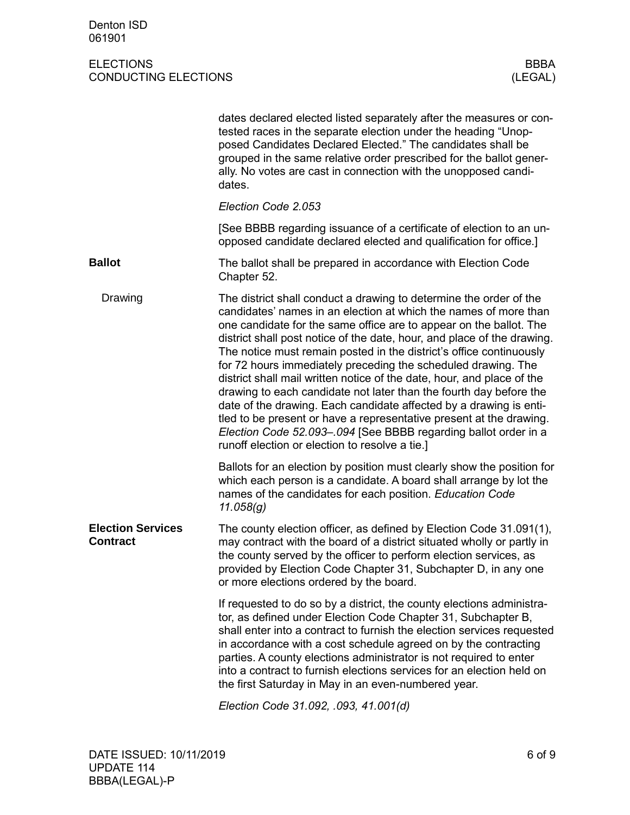|                                             | dates declared elected listed separately after the measures or con-<br>tested races in the separate election under the heading "Unop-<br>posed Candidates Declared Elected." The candidates shall be<br>grouped in the same relative order prescribed for the ballot gener-<br>ally. No votes are cast in connection with the unopposed candi-<br>dates.                                                                                                                                                                                                                                                                                                                                                                                                                                                                                          |
|---------------------------------------------|---------------------------------------------------------------------------------------------------------------------------------------------------------------------------------------------------------------------------------------------------------------------------------------------------------------------------------------------------------------------------------------------------------------------------------------------------------------------------------------------------------------------------------------------------------------------------------------------------------------------------------------------------------------------------------------------------------------------------------------------------------------------------------------------------------------------------------------------------|
|                                             | Election Code 2.053                                                                                                                                                                                                                                                                                                                                                                                                                                                                                                                                                                                                                                                                                                                                                                                                                               |
|                                             | [See BBBB regarding issuance of a certificate of election to an un-<br>opposed candidate declared elected and qualification for office.]                                                                                                                                                                                                                                                                                                                                                                                                                                                                                                                                                                                                                                                                                                          |
| <b>Ballot</b>                               | The ballot shall be prepared in accordance with Election Code<br>Chapter 52.                                                                                                                                                                                                                                                                                                                                                                                                                                                                                                                                                                                                                                                                                                                                                                      |
| Drawing                                     | The district shall conduct a drawing to determine the order of the<br>candidates' names in an election at which the names of more than<br>one candidate for the same office are to appear on the ballot. The<br>district shall post notice of the date, hour, and place of the drawing.<br>The notice must remain posted in the district's office continuously<br>for 72 hours immediately preceding the scheduled drawing. The<br>district shall mail written notice of the date, hour, and place of the<br>drawing to each candidate not later than the fourth day before the<br>date of the drawing. Each candidate affected by a drawing is enti-<br>tled to be present or have a representative present at the drawing.<br>Election Code 52.093-.094 [See BBBB regarding ballot order in a<br>runoff election or election to resolve a tie.] |
|                                             | Ballots for an election by position must clearly show the position for<br>which each person is a candidate. A board shall arrange by lot the<br>names of the candidates for each position. Education Code<br>11.058(g)                                                                                                                                                                                                                                                                                                                                                                                                                                                                                                                                                                                                                            |
| <b>Election Services</b><br><b>Contract</b> | The county election officer, as defined by Election Code 31.091(1),<br>may contract with the board of a district situated wholly or partly in<br>the county served by the officer to perform election services, as<br>provided by Election Code Chapter 31, Subchapter D, in any one<br>or more elections ordered by the board.                                                                                                                                                                                                                                                                                                                                                                                                                                                                                                                   |
|                                             | If requested to do so by a district, the county elections administra-<br>tor, as defined under Election Code Chapter 31, Subchapter B,<br>shall enter into a contract to furnish the election services requested<br>in accordance with a cost schedule agreed on by the contracting<br>parties. A county elections administrator is not required to enter<br>into a contract to furnish elections services for an election held on<br>the first Saturday in May in an even-numbered year.                                                                                                                                                                                                                                                                                                                                                         |
|                                             | 0.40000001400460                                                                                                                                                                                                                                                                                                                                                                                                                                                                                                                                                                                                                                                                                                                                                                                                                                  |

*Election Code 31.092, .093, 41.001(d)*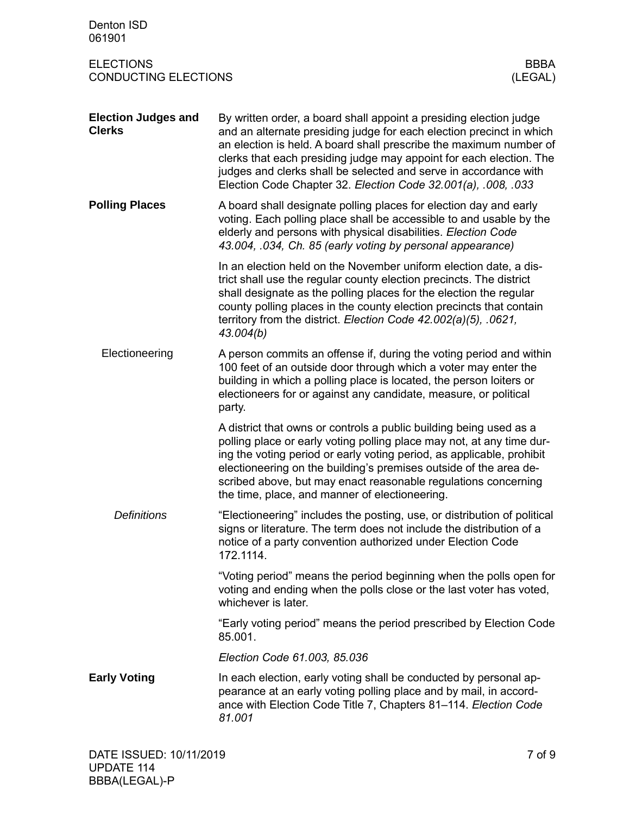| Denton ISD<br>061901                            |                                                                                                                                                                                                                                                                                                                                                                                                                              |
|-------------------------------------------------|------------------------------------------------------------------------------------------------------------------------------------------------------------------------------------------------------------------------------------------------------------------------------------------------------------------------------------------------------------------------------------------------------------------------------|
| <b>ELECTIONS</b><br><b>CONDUCTING ELECTIONS</b> | <b>BBBA</b><br>(LEGAL)                                                                                                                                                                                                                                                                                                                                                                                                       |
| <b>Election Judges and</b><br><b>Clerks</b>     | By written order, a board shall appoint a presiding election judge<br>and an alternate presiding judge for each election precinct in which<br>an election is held. A board shall prescribe the maximum number of<br>clerks that each presiding judge may appoint for each election. The<br>judges and clerks shall be selected and serve in accordance with<br>Election Code Chapter 32. Election Code 32.001(a), .008, .033 |
| <b>Polling Places</b>                           | A board shall designate polling places for election day and early<br>voting. Each polling place shall be accessible to and usable by the<br>elderly and persons with physical disabilities. Election Code<br>43.004, .034, Ch. 85 (early voting by personal appearance)                                                                                                                                                      |
|                                                 | In an election held on the November uniform election date, a dis-<br>trict shall use the regular county election precincts. The district<br>shall designate as the polling places for the election the regular<br>county polling places in the county election precincts that contain<br>territory from the district. Election Code 42.002(a)(5), .0621,<br>43.004(b)                                                        |
| Electioneering                                  | A person commits an offense if, during the voting period and within<br>100 feet of an outside door through which a voter may enter the<br>building in which a polling place is located, the person loiters or<br>electioneers for or against any candidate, measure, or political<br>party.                                                                                                                                  |
|                                                 | A district that owns or controls a public building being used as a<br>polling place or early voting polling place may not, at any time dur-<br>ing the voting period or early voting period, as applicable, prohibit<br>electioneering on the building's premises outside of the area de-<br>scribed above, but may enact reasonable regulations concerning<br>the time, place, and manner of electioneering.                |
| <b>Definitions</b>                              | "Electioneering" includes the posting, use, or distribution of political<br>signs or literature. The term does not include the distribution of a<br>notice of a party convention authorized under Election Code<br>172.1114.                                                                                                                                                                                                 |
|                                                 | "Voting period" means the period beginning when the polls open for<br>voting and ending when the polls close or the last voter has voted,<br>whichever is later.                                                                                                                                                                                                                                                             |
|                                                 | "Early voting period" means the period prescribed by Election Code<br>85.001.                                                                                                                                                                                                                                                                                                                                                |
|                                                 | Election Code 61.003, 85.036                                                                                                                                                                                                                                                                                                                                                                                                 |
| <b>Early Voting</b>                             | In each election, early voting shall be conducted by personal ap-<br>pearance at an early voting polling place and by mail, in accord-<br>ance with Election Code Title 7, Chapters 81-114. Election Code<br>81.001                                                                                                                                                                                                          |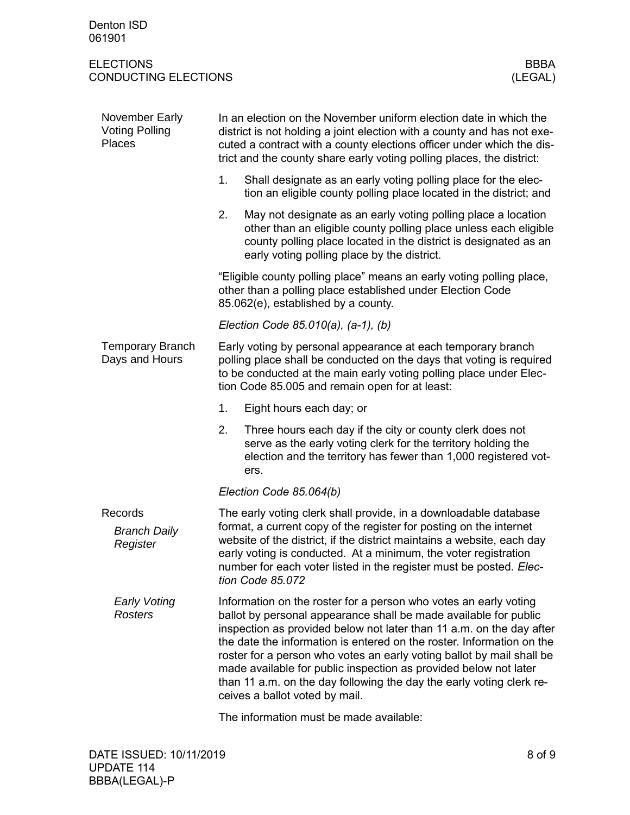| November Early<br><b>Voting Polling</b><br>Places | In an election on the November uniform election date in which the<br>district is not holding a joint election with a county and has not exe-<br>cuted a contract with a county elections officer under which the dis-<br>trict and the county share early voting polling places, the district:                                                                                                                                                                                                                                               |  |  |
|---------------------------------------------------|----------------------------------------------------------------------------------------------------------------------------------------------------------------------------------------------------------------------------------------------------------------------------------------------------------------------------------------------------------------------------------------------------------------------------------------------------------------------------------------------------------------------------------------------|--|--|
|                                                   | 1.<br>Shall designate as an early voting polling place for the elec-<br>tion an eligible county polling place located in the district; and                                                                                                                                                                                                                                                                                                                                                                                                   |  |  |
|                                                   | 2.<br>May not designate as an early voting polling place a location<br>other than an eligible county polling place unless each eligible<br>county polling place located in the district is designated as an<br>early voting polling place by the district.                                                                                                                                                                                                                                                                                   |  |  |
|                                                   | "Eligible county polling place" means an early voting polling place,<br>other than a polling place established under Election Code<br>85.062(e), established by a county.                                                                                                                                                                                                                                                                                                                                                                    |  |  |
|                                                   | Election Code 85.010(a), (a-1), (b)                                                                                                                                                                                                                                                                                                                                                                                                                                                                                                          |  |  |
| <b>Temporary Branch</b><br>Days and Hours         | Early voting by personal appearance at each temporary branch<br>polling place shall be conducted on the days that voting is required<br>to be conducted at the main early voting polling place under Elec-<br>tion Code 85.005 and remain open for at least:                                                                                                                                                                                                                                                                                 |  |  |
|                                                   | 1.<br>Eight hours each day; or                                                                                                                                                                                                                                                                                                                                                                                                                                                                                                               |  |  |
|                                                   | Three hours each day if the city or county clerk does not<br>2.<br>serve as the early voting clerk for the territory holding the<br>election and the territory has fewer than 1,000 registered vot-<br>ers.                                                                                                                                                                                                                                                                                                                                  |  |  |
|                                                   | Election Code 85.064(b)                                                                                                                                                                                                                                                                                                                                                                                                                                                                                                                      |  |  |
| Records<br><b>Branch Daily</b><br>Register        | The early voting clerk shall provide, in a downloadable database<br>format, a current copy of the register for posting on the internet<br>website of the district, if the district maintains a website, each day<br>early voting is conducted. At a minimum, the voter registration<br>number for each voter listed in the register must be posted. Elec-<br>tion Code 85.072                                                                                                                                                                |  |  |
| <b>Early Voting</b><br><b>Rosters</b>             | Information on the roster for a person who votes an early voting<br>ballot by personal appearance shall be made available for public<br>inspection as provided below not later than 11 a.m. on the day after<br>the date the information is entered on the roster. Information on the<br>roster for a person who votes an early voting ballot by mail shall be<br>made available for public inspection as provided below not later<br>than 11 a.m. on the day following the day the early voting clerk re-<br>ceives a ballot voted by mail. |  |  |
|                                                   |                                                                                                                                                                                                                                                                                                                                                                                                                                                                                                                                              |  |  |

The information must be made available: